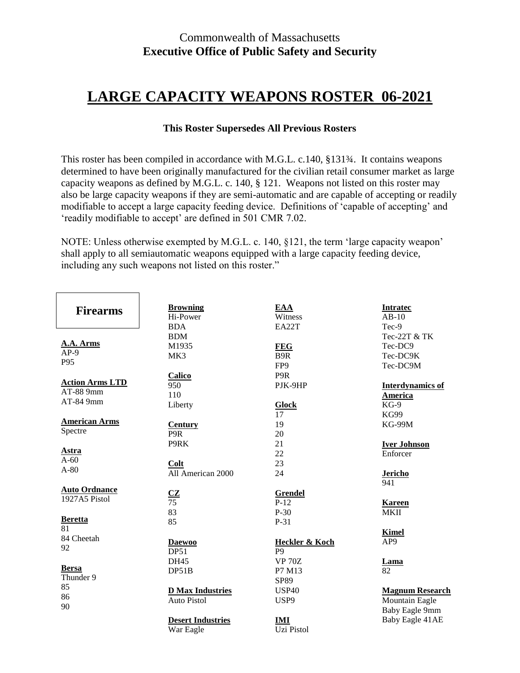# **LARGE CAPACITY WEAPONS ROSTER 06-2021**

## **This Roster Supersedes All Previous Rosters**

This roster has been compiled in accordance with M.G.L. c.140, §131¾. It contains weapons determined to have been originally manufactured for the civilian retail consumer market as large capacity weapons as defined by M.G.L. c. 140, § 121. Weapons not listed on this roster may also be large capacity weapons if they are semi-automatic and are capable of accepting or readily modifiable to accept a large capacity feeding device. Definitions of 'capable of accepting' and 'readily modifiable to accept' are defined in 501 CMR 7.02.

NOTE: Unless otherwise exempted by M.G.L. c. 140, §121, the term 'large capacity weapon' shall apply to all semiautomatic weapons equipped with a large capacity feeding device, including any such weapons not listed on this roster."

| <b>Firearms</b>                                  | <b>Browning</b><br>Hi-Power<br><b>BDA</b>                   | EAA<br>Witness<br>EA22T                               | <b>Intratec</b><br>$AB-10$<br>Tec-9                 |
|--------------------------------------------------|-------------------------------------------------------------|-------------------------------------------------------|-----------------------------------------------------|
| A.A. Arms<br>$AP-9$<br>P95                       | <b>BDM</b><br>M1935<br>MK3                                  | <b>FEG</b><br>B <sub>9R</sub><br>FP <sub>9</sub>      | Tec-22T & TK<br>Tec-DC9<br>Tec-DC9K<br>Tec-DC9M     |
| <b>Action Arms LTD</b><br>AT-88 9mm<br>AT-84 9mm | Calico<br>950<br>110<br>Liberty                             | P9R<br>PJK-9HP<br><b>Glock</b>                        | <b>Interdynamics of</b><br><b>America</b><br>$KG-9$ |
| <b>American Arms</b><br>Spectre                  | <b>Century</b><br>P9R<br>P9RK                               | 17<br>19<br>20<br>21                                  | KG99<br><b>KG-99M</b><br><b>Iver Johnson</b>        |
| <b>Astra</b><br>$A-60$<br>$A-80$                 | Colt<br>All American 2000                                   | 22<br>23<br>24                                        | Enforcer<br><b>Jericho</b><br>941                   |
| <b>Auto Ordnance</b><br>1927A5 Pistol            | $rac{\text{CZ}}{75}$<br>83                                  | <b>Grendel</b><br>$P-12$<br>$P-30$                    | <b>Kareen</b><br>MKII                               |
| <b>Beretta</b><br>81<br>84 Cheetah<br>92         | 85<br><b>Daewoo</b><br>DP51                                 | $P-31$<br><b>Heckler &amp; Koch</b><br>P <sub>9</sub> | <b>Kimel</b><br>AP <sub>9</sub>                     |
| <b>Bersa</b><br>Thunder 9<br>85                  | <b>DH45</b><br>DP51B<br><b>D Max Industries</b>             | <b>VP 70Z</b><br>P7 M13<br>SP89<br><b>USP40</b>       | Lama<br>82<br><b>Magnum Research</b>                |
| 86<br>90                                         | <b>Auto Pistol</b><br><b>Desert Industries</b><br>War Eagle | USP9<br>IMI<br>Uzi Pistol                             | Mountain Eagle<br>Baby Eagle 9mm<br>Baby Eagle 41AE |
|                                                  |                                                             |                                                       |                                                     |